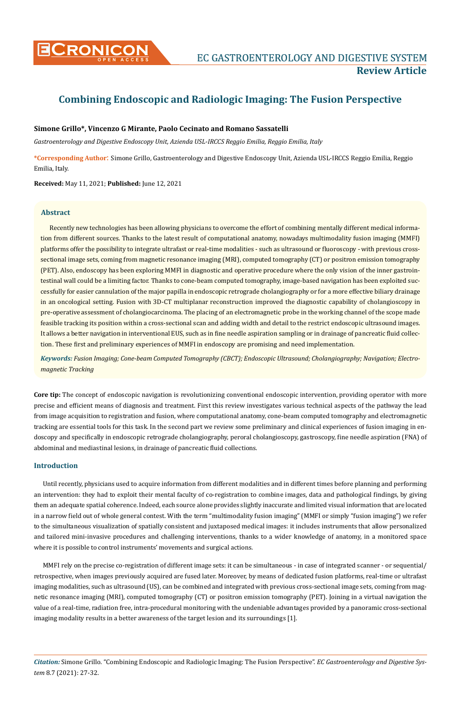

# **Combining Endoscopic and Radiologic Imaging: The Fusion Perspective**

# **Simone Grillo\*, Vincenzo G Mirante, Paolo Cecinato and Romano Sassatelli**

*Gastroenterology and Digestive Endoscopy Unit, Azienda USL-IRCCS Reggio Emilia, Reggio Emilia, Italy*

**\*Corresponding Author**: Simone Grillo, Gastroenterology and Digestive Endoscopy Unit, Azienda USL-IRCCS Reggio Emilia, Reggio Emilia, Italy.

**Received:** May 11, 2021; **Published:** June 12, 2021

## **Abstract**

Recently new technologies has been allowing physicians to overcome the effort of combining mentally different medical information from different sources. Thanks to the latest result of computational anatomy, nowadays multimodality fusion imaging (MMFI) platforms offer the possibility to integrate ultrafast or real-time modalities - such as ultrasound or fluoroscopy - with previous crosssectional image sets, coming from magnetic resonance imaging (MRI), computed tomography (CT) or positron emission tomography (PET). Also, endoscopy has been exploring MMFI in diagnostic and operative procedure where the only vision of the inner gastrointestinal wall could be a limiting factor. Thanks to cone-beam computed tomography, image-based navigation has been exploited successfully for easier cannulation of the major papilla in endoscopic retrograde cholangiography or for a more effective biliary drainage in an oncological setting. Fusion with 3D-CT multiplanar reconstruction improved the diagnostic capability of cholangioscopy in pre-operative assessment of cholangiocarcinoma. The placing of an electromagnetic probe in the working channel of the scope made feasible tracking its position within a cross-sectional scan and adding width and detail to the restrict endoscopic ultrasound images. It allows a better navigation in interventional EUS, such as in fine needle aspiration sampling or in drainage of pancreatic fluid collection. These first and preliminary experiences of MMFI in endoscopy are promising and need implementation.

*Keywords: Fusion Imaging; Cone-beam Computed Tomography (CBCT); Endoscopic Ultrasound; Cholangiography; Navigation; Electromagnetic Tracking*

**Core tip:** The concept of endoscopic navigation is revolutionizing conventional endoscopic intervention, providing operator with more precise and efficient means of diagnosis and treatment. First this review investigates various technical aspects of the pathway the lead from image acquisition to registration and fusion, where computational anatomy, cone-beam computed tomography and electromagnetic tracking are essential tools for this task. In the second part we review some preliminary and clinical experiences of fusion imaging in endoscopy and specifically in endoscopic retrograde cholangiography, peroral cholangioscopy, gastroscopy, fine needle aspiration (FNA) of abdominal and mediastinal lesions, in drainage of pancreatic fluid collections.

## **Introduction**

Until recently, physicians used to acquire information from different modalities and in different times before planning and performing an intervention: they had to exploit their mental faculty of co-registration to combine images, data and pathological findings, by giving them an adequate spatial coherence. Indeed, each source alone provides slightly inaccurate and limited visual information that are located in a narrow field out of whole general contest. With the term "multimodality fusion imaging" (MMFI or simply "fusion imaging") we refer to the simultaneous visualization of spatially consistent and juxtaposed medical images: it includes instruments that allow personalized and tailored mini-invasive procedures and challenging interventions, thanks to a wider knowledge of anatomy, in a monitored space where it is possible to control instruments' movements and surgical actions.

MMFI rely on the precise co-registration of different image sets: it can be simultaneous - in case of integrated scanner - or sequential/ retrospective, when images previously acquired are fused later. Moreover, by means of dedicated fusion platforms, real-time or ultrafast imaging modalities, such as ultrasound (US), can be combined and integrated with previous cross-sectional image sets, coming from magnetic resonance imaging (MRI), computed tomography (CT) or positron emission tomography (PET). Joining in a virtual navigation the value of a real-time, radiation free, intra-procedural monitoring with the undeniable advantages provided by a panoramic cross-sectional imaging modality results in a better awareness of the target lesion and its surroundings [1].

*Citation:* Simone Grillo*.* "Combining Endoscopic and Radiologic Imaging: The Fusion Perspective". *EC Gastroenterology and Digestive System* 8.7 (2021): 27-32.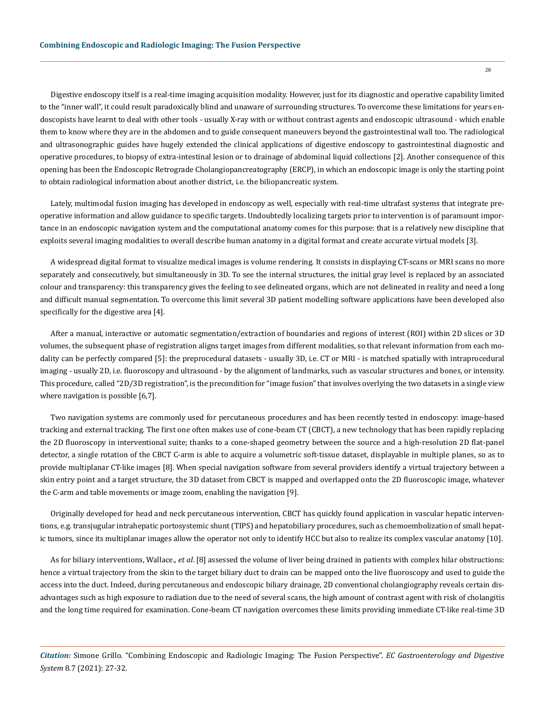Digestive endoscopy itself is a real-time imaging acquisition modality. However, just for its diagnostic and operative capability limited to the "inner wall", it could result paradoxically blind and unaware of surrounding structures. To overcome these limitations for years endoscopists have learnt to deal with other tools - usually X-ray with or without contrast agents and endoscopic ultrasound - which enable them to know where they are in the abdomen and to guide consequent maneuvers beyond the gastrointestinal wall too. The radiological and ultrasonographic guides have hugely extended the clinical applications of digestive endoscopy to gastrointestinal diagnostic and operative procedures, to biopsy of extra-intestinal lesion or to drainage of abdominal liquid collections [2]. Another consequence of this opening has been the Endoscopic Retrograde Cholangiopancreatography (ERCP), in which an endoscopic image is only the starting point to obtain radiological information about another district, i.e. the biliopancreatic system.

Lately, multimodal fusion imaging has developed in endoscopy as well, especially with real-time ultrafast systems that integrate preoperative information and allow guidance to specific targets. Undoubtedly localizing targets prior to intervention is of paramount importance in an endoscopic navigation system and the computational anatomy comes for this purpose: that is a relatively new discipline that exploits several imaging modalities to overall describe human anatomy in a digital format and create accurate virtual models [3].

A widespread digital format to visualize medical images is volume rendering. It consists in displaying CT-scans or MRI scans no more separately and consecutively, but simultaneously in 3D. To see the internal structures, the initial gray level is replaced by an associated colour and transparency: this transparency gives the feeling to see delineated organs, which are not delineated in reality and need a long and difficult manual segmentation. To overcome this limit several 3D patient modelling software applications have been developed also specifically for the digestive area [4].

After a manual, interactive or automatic segmentation/extraction of boundaries and regions of interest (ROI) within 2D slices or 3D volumes, the subsequent phase of registration aligns target images from different modalities, so that relevant information from each modality can be perfectly compared [5]: the preprocedural datasets - usually 3D, i.e. CT or MRI - is matched spatially with intraprocedural imaging - usually 2D, i.e. fluoroscopy and ultrasound - by the alignment of landmarks, such as vascular structures and bones, or intensity. This procedure, called "2D/3D registration", is the precondition for "image fusion" that involves overlying the two datasets in a single view where navigation is possible [6,7].

Two navigation systems are commonly used for percutaneous procedures and has been recently tested in endoscopy: image-based tracking and external tracking. The first one often makes use of cone-beam CT (CBCT), a new technology that has been rapidly replacing the 2D fluoroscopy in interventional suite; thanks to a cone-shaped geometry between the source and a high-resolution 2D flat-panel detector, a single rotation of the CBCT C-arm is able to acquire a volumetric soft-tissue dataset, displayable in multiple planes, so as to provide multiplanar CT-like images [8]. When special navigation software from several providers identify a virtual trajectory between a skin entry point and a target structure, the 3D dataset from CBCT is mapped and overlapped onto the 2D fluoroscopic image, whatever the C-arm and table movements or image zoom, enabling the navigation [9].

Originally developed for head and neck percutaneous intervention, CBCT has quickly found application in vascular hepatic interventions, e.g. transjugular intrahepatic portosystemic shunt (TIPS) and hepatobiliary procedures, such as chemoembolization of small hepatic tumors, since its multiplanar images allow the operator not only to identify HCC but also to realize its complex vascular anatomy [10].

As for biliary interventions, Wallace., *et al*. [8] assessed the volume of liver being drained in patients with complex hilar obstructions: hence a virtual trajectory from the skin to the target biliary duct to drain can be mapped onto the live fluoroscopy and used to guide the access into the duct. Indeed, during percutaneous and endoscopic biliary drainage, 2D conventional cholangiography reveals certain disadvantages such as high exposure to radiation due to the need of several scans, the high amount of contrast agent with risk of cholangitis and the long time required for examination. Cone-beam CT navigation overcomes these limits providing immediate CT-like real-time 3D

*Citation:* Simone Grillo*.* "Combining Endoscopic and Radiologic Imaging: The Fusion Perspective". *EC Gastroenterology and Digestive System* 8.7 (2021): 27-32.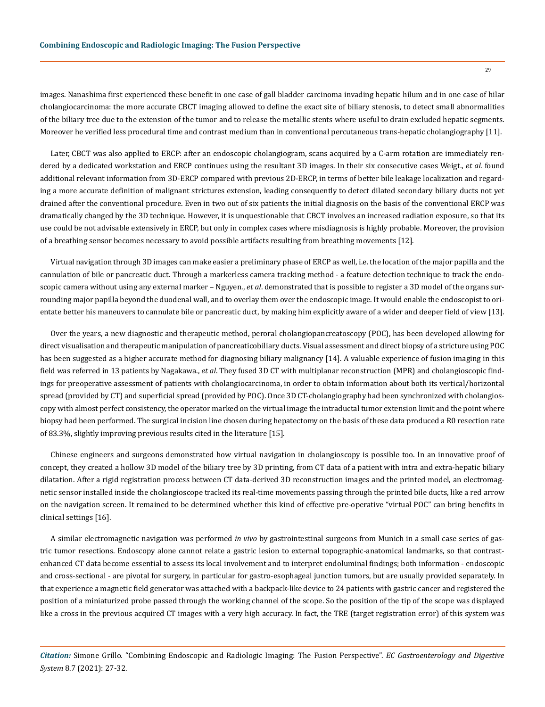images. Nanashima first experienced these benefit in one case of gall bladder carcinoma invading hepatic hilum and in one case of hilar cholangiocarcinoma: the more accurate CBCT imaging allowed to define the exact site of biliary stenosis, to detect small abnormalities of the biliary tree due to the extension of the tumor and to release the metallic stents where useful to drain excluded hepatic segments. Moreover he verified less procedural time and contrast medium than in conventional percutaneous trans-hepatic cholangiography [11].

Later, CBCT was also applied to ERCP: after an endoscopic cholangiogram, scans acquired by a C-arm rotation are immediately rendered by a dedicated workstation and ERCP continues using the resultant 3D images. In their six consecutive cases Weigt., *et al*. found additional relevant information from 3D-ERCP compared with previous 2D-ERCP, in terms of better bile leakage localization and regarding a more accurate definition of malignant strictures extension, leading consequently to detect dilated secondary biliary ducts not yet drained after the conventional procedure. Even in two out of six patients the initial diagnosis on the basis of the conventional ERCP was dramatically changed by the 3D technique. However, it is unquestionable that CBCT involves an increased radiation exposure, so that its use could be not advisable extensively in ERCP, but only in complex cases where misdiagnosis is highly probable. Moreover, the provision of a breathing sensor becomes necessary to avoid possible artifacts resulting from breathing movements [12].

Virtual navigation through 3D images can make easier a preliminary phase of ERCP as well, i.e. the location of the major papilla and the cannulation of bile or pancreatic duct. Through a markerless camera tracking method - a feature detection technique to track the endoscopic camera without using any external marker – Nguyen., *et al*. demonstrated that is possible to register a 3D model of the organs surrounding major papilla beyond the duodenal wall, and to overlay them over the endoscopic image. It would enable the endoscopist to orientate better his maneuvers to cannulate bile or pancreatic duct, by making him explicitly aware of a wider and deeper field of view [13].

Over the years, a new diagnostic and therapeutic method, peroral cholangiopancreatoscopy (POC), has been developed allowing for direct visualisation and therapeutic manipulation of pancreaticobiliary ducts. Visual assessment and direct biopsy of a stricture using POC has been suggested as a higher accurate method for diagnosing biliary malignancy [14]. A valuable experience of fusion imaging in this field was referred in 13 patients by Nagakawa., *et al*. They fused 3D CT with multiplanar reconstruction (MPR) and cholangioscopic findings for preoperative assessment of patients with cholangiocarcinoma, in order to obtain information about both its vertical/horizontal spread (provided by CT) and superficial spread (provided by POC). Once 3D CT-cholangiography had been synchronized with cholangioscopy with almost perfect consistency, the operator marked on the virtual image the intraductal tumor extension limit and the point where biopsy had been performed. The surgical incision line chosen during hepatectomy on the basis of these data produced a R0 resection rate of 83.3%, slightly improving previous results cited in the literature [15].

Chinese engineers and surgeons demonstrated how virtual navigation in cholangioscopy is possible too. In an innovative proof of concept, they created a hollow 3D model of the biliary tree by 3D printing, from CT data of a patient with intra and extra-hepatic biliary dilatation. After a rigid registration process between CT data-derived 3D reconstruction images and the printed model, an electromagnetic sensor installed inside the cholangioscope tracked its real-time movements passing through the printed bile ducts, like a red arrow on the navigation screen. It remained to be determined whether this kind of effective pre-operative "virtual POC" can bring benefits in clinical settings [16].

A similar electromagnetic navigation was performed *in vivo* by gastrointestinal surgeons from Munich in a small case series of gastric tumor resections. Endoscopy alone cannot relate a gastric lesion to external topographic-anatomical landmarks, so that contrastenhanced CT data become essential to assess its local involvement and to interpret endoluminal findings; both information - endoscopic and cross-sectional - are pivotal for surgery, in particular for gastro-esophageal junction tumors, but are usually provided separately. In that experience a magnetic field generator was attached with a backpack-like device to 24 patients with gastric cancer and registered the position of a miniaturized probe passed through the working channel of the scope. So the position of the tip of the scope was displayed like a cross in the previous acquired CT images with a very high accuracy. In fact, the TRE (target registration error) of this system was

*Citation:* Simone Grillo*.* "Combining Endoscopic and Radiologic Imaging: The Fusion Perspective". *EC Gastroenterology and Digestive System* 8.7 (2021): 27-32.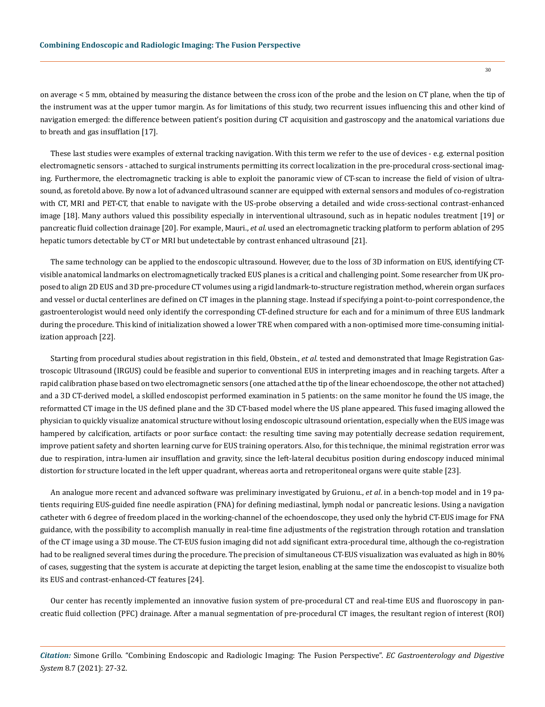on average < 5 mm, obtained by measuring the distance between the cross icon of the probe and the lesion on CT plane, when the tip of the instrument was at the upper tumor margin. As for limitations of this study, two recurrent issues influencing this and other kind of navigation emerged: the difference between patient's position during CT acquisition and gastroscopy and the anatomical variations due to breath and gas insufflation [17].

These last studies were examples of external tracking navigation. With this term we refer to the use of devices - e.g. external position electromagnetic sensors - attached to surgical instruments permitting its correct localization in the pre-procedural cross-sectional imaging. Furthermore, the electromagnetic tracking is able to exploit the panoramic view of CT-scan to increase the field of vision of ultrasound, as foretold above. By now a lot of advanced ultrasound scanner are equipped with external sensors and modules of co-registration with CT, MRI and PET-CT, that enable to navigate with the US-probe observing a detailed and wide cross-sectional contrast-enhanced image [18]. Many authors valued this possibility especially in interventional ultrasound, such as in hepatic nodules treatment [19] or pancreatic fluid collection drainage [20]. For example, Mauri., *et al*. used an electromagnetic tracking platform to perform ablation of 295 hepatic tumors detectable by CT or MRI but undetectable by contrast enhanced ultrasound [21].

The same technology can be applied to the endoscopic ultrasound. However, due to the loss of 3D information on EUS, identifying CTvisible anatomical landmarks on electromagnetically tracked EUS planes is a critical and challenging point. Some researcher from UK proposed to align 2D EUS and 3D pre-procedure CT volumes using a rigid landmark-to-structure registration method, wherein organ surfaces and vessel or ductal centerlines are defined on CT images in the planning stage. Instead if specifying a point-to-point correspondence, the gastroenterologist would need only identify the corresponding CT-defined structure for each and for a minimum of three EUS landmark during the procedure. This kind of initialization showed a lower TRE when compared with a non-optimised more time-consuming initialization approach [22].

Starting from procedural studies about registration in this field, Obstein., *et al*. tested and demonstrated that Image Registration Gastroscopic Ultrasound (IRGUS) could be feasible and superior to conventional EUS in interpreting images and in reaching targets. After a rapid calibration phase based on two electromagnetic sensors (one attached at the tip of the linear echoendoscope, the other not attached) and a 3D CT-derived model, a skilled endoscopist performed examination in 5 patients: on the same monitor he found the US image, the reformatted CT image in the US defined plane and the 3D CT-based model where the US plane appeared. This fused imaging allowed the physician to quickly visualize anatomical structure without losing endoscopic ultrasound orientation, especially when the EUS image was hampered by calcification, artifacts or poor surface contact: the resulting time saving may potentially decrease sedation requirement, improve patient safety and shorten learning curve for EUS training operators. Also, for this technique, the minimal registration error was due to respiration, intra-lumen air insufflation and gravity, since the left-lateral decubitus position during endoscopy induced minimal distortion for structure located in the left upper quadrant, whereas aorta and retroperitoneal organs were quite stable [23].

An analogue more recent and advanced software was preliminary investigated by Gruionu., *et al*. in a bench-top model and in 19 patients requiring EUS-guided fine needle aspiration (FNA) for defining mediastinal, lymph nodal or pancreatic lesions. Using a navigation catheter with 6 degree of freedom placed in the working-channel of the echoendoscope, they used only the hybrid CT-EUS image for FNA guidance, with the possibility to accomplish manually in real-time fine adjustments of the registration through rotation and translation of the CT image using a 3D mouse. The CT-EUS fusion imaging did not add significant extra-procedural time, although the co-registration had to be realigned several times during the procedure. The precision of simultaneous CT-EUS visualization was evaluated as high in 80% of cases, suggesting that the system is accurate at depicting the target lesion, enabling at the same time the endoscopist to visualize both its EUS and contrast-enhanced-CT features [24].

Our center has recently implemented an innovative fusion system of pre-procedural CT and real-time EUS and fluoroscopy in pancreatic fluid collection (PFC) drainage. After a manual segmentation of pre-procedural CT images, the resultant region of interest (ROI)

*Citation:* Simone Grillo*.* "Combining Endoscopic and Radiologic Imaging: The Fusion Perspective". *EC Gastroenterology and Digestive System* 8.7 (2021): 27-32.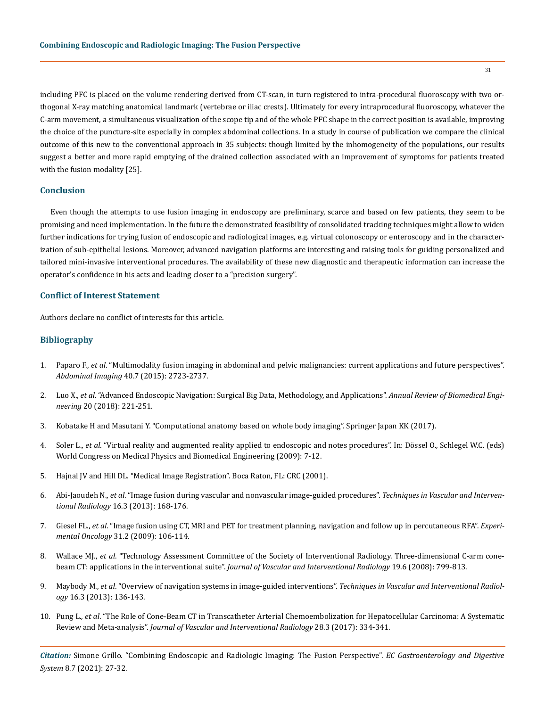including PFC is placed on the volume rendering derived from CT-scan, in turn registered to intra-procedural fluoroscopy with two orthogonal X-ray matching anatomical landmark (vertebrae or iliac crests). Ultimately for every intraprocedural fluoroscopy, whatever the C-arm movement, a simultaneous visualization of the scope tip and of the whole PFC shape in the correct position is available, improving the choice of the puncture-site especially in complex abdominal collections. In a study in course of publication we compare the clinical outcome of this new to the conventional approach in 35 subjects: though limited by the inhomogeneity of the populations, our results suggest a better and more rapid emptying of the drained collection associated with an improvement of symptoms for patients treated with the fusion modality [25].

#### **Conclusion**

Even though the attempts to use fusion imaging in endoscopy are preliminary, scarce and based on few patients, they seem to be promising and need implementation. In the future the demonstrated feasibility of consolidated tracking techniques might allow to widen further indications for trying fusion of endoscopic and radiological images, e.g. virtual colonoscopy or enteroscopy and in the characterization of sub-epithelial lesions. Moreover, advanced navigation platforms are interesting and raising tools for guiding personalized and tailored mini-invasive interventional procedures. The availability of these new diagnostic and therapeutic information can increase the operator's confidence in his acts and leading closer to a "precision surgery".

#### **Conflict of Interest Statement**

Authors declare no conflict of interests for this article.

#### **Bibliography**

- 1. Paparo F., *et al*[. "Multimodality fusion imaging in abdominal and pelvic malignancies: current applications and future perspectives".](https://pubmed.ncbi.nlm.nih.gov/25952574/)  *Abdominal Imaging* [40.7 \(2015\): 2723-2737.](https://pubmed.ncbi.nlm.nih.gov/25952574/)
- 2. Luo X., *et al*[. "Advanced Endoscopic Navigation: Surgical Big Data, Methodology, and Applications".](https://pubmed.ncbi.nlm.nih.gov/29505729/) *Annual Review of Biomedical Engineering* [20 \(2018\): 221-251.](https://pubmed.ncbi.nlm.nih.gov/29505729/)
- 3. Kobatake H and Masutani Y. "Computational anatomy based on whole body imaging". Springer Japan KK (2017).
- 4. Soler L., *et al*[. "Virtual reality and augmented reality applied to endoscopic and notes procedures". In: Dössel O., Schlegel W.C. \(eds\)](https://link.springer.com/chapter/10.1007/978-3-642-03906-5_101)  [World Congress on Medical Physics and Biomedical Engineering \(2009\): 7-12.](https://link.springer.com/chapter/10.1007/978-3-642-03906-5_101)
- 5. [Hajnal JV and Hill DL. "Medical Image Registration". Boca Raton, FL: CRC \(2001\).](https://pubmed.ncbi.nlm.nih.gov/11277237/)
- 6. Abi-Jaoudeh N., *et al*[. "Image fusion during vascular and nonvascular image-guided procedures".](https://www.ncbi.nlm.nih.gov/pmc/articles/PMC3874295/) *Techniques in Vascular and Interventional Radiology* [16.3 \(2013\): 168-176.](https://www.ncbi.nlm.nih.gov/pmc/articles/PMC3874295/)
- 7. Giesel FL., *et al*[. "Image fusion using CT, MRI and PET for treatment planning, navigation and follow up in percutaneous RFA".](https://pubmed.ncbi.nlm.nih.gov/19550401/) *Experimental Oncology* [31.2 \(2009\): 106-114.](https://pubmed.ncbi.nlm.nih.gov/19550401/)
- 8. Wallace MJ., *et al*[. "Technology Assessment Committee of the Society of Interventional Radiology. Three-dimensional C-arm cone](https://pubmed.ncbi.nlm.nih.gov/19560037/)beam CT: applications in the interventional suite". *[Journal of Vascular and Interventional Radiology](https://pubmed.ncbi.nlm.nih.gov/19560037/)* 19.6 (2008): 799-813.
- 9. Maybody M., *et al*[. "Overview of navigation systems in image-guided interventions".](https://www.sciencedirect.com/science/article/abs/pii/S1089251613000292) *Techniques in Vascular and Interventional Radiology* [16.3 \(2013\): 136-143.](https://www.sciencedirect.com/science/article/abs/pii/S1089251613000292)
- 10. Pung L., *et al*[. "The Role of Cone-Beam CT in Transcatheter Arterial Chemoembolization for Hepatocellular Carcinoma: A Systematic](https://pubmed.ncbi.nlm.nih.gov/28109724/)  Review and Meta-analysis". *[Journal of Vascular and Interventional Radiology](https://pubmed.ncbi.nlm.nih.gov/28109724/)* 28.3 (2017): 334-341.

*Citation:* Simone Grillo*.* "Combining Endoscopic and Radiologic Imaging: The Fusion Perspective". *EC Gastroenterology and Digestive System* 8.7 (2021): 27-32.